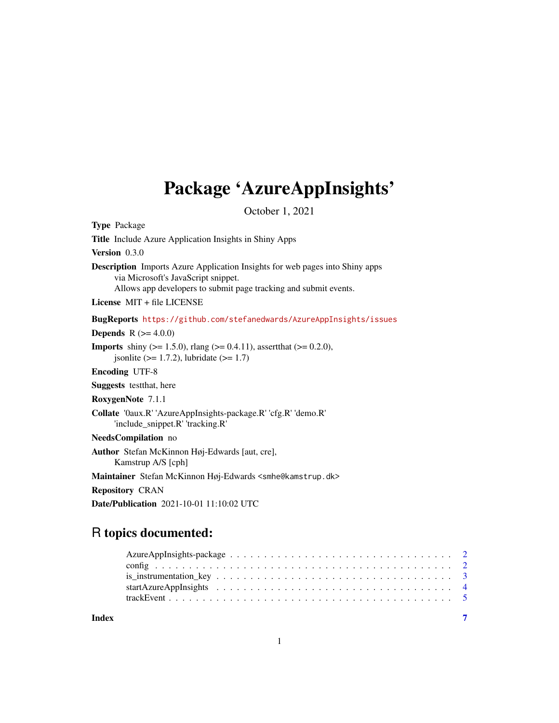# Package 'AzureAppInsights'

October 1, 2021

<span id="page-0-0"></span>

| <b>Type Package</b>                                                                                                                                                                            |
|------------------------------------------------------------------------------------------------------------------------------------------------------------------------------------------------|
| <b>Title</b> Include Azure Application Insights in Shiny Apps                                                                                                                                  |
| Version $0.3.0$                                                                                                                                                                                |
| <b>Description</b> Imports Azure Application Insights for web pages into Shiny apps<br>via Microsoft's JavaScript snippet.<br>Allows app developers to submit page tracking and submit events. |
| License MIT + file LICENSE                                                                                                                                                                     |
| BugReports https://github.com/stefanedwards/AzureAppInsights/issues                                                                                                                            |
| <b>Depends</b> $R (= 4.0.0)$                                                                                                                                                                   |
| <b>Imports</b> shiny ( $> = 1.5.0$ ), rlang ( $> = 0.4.11$ ), assert that ( $> = 0.2.0$ ),<br>isonlite $(>= 1.7.2)$ , lubridate $(>= 1.7)$                                                     |
| <b>Encoding UTF-8</b>                                                                                                                                                                          |
| <b>Suggests</b> test that, here                                                                                                                                                                |
| RoxygenNote 7.1.1                                                                                                                                                                              |
| Collate '0aux.R' 'AzureAppInsights-package.R' 'cfg.R' 'demo.R'<br>'include_snippet.R' 'tracking.R'                                                                                             |
| NeedsCompilation no                                                                                                                                                                            |
| Author Stefan McKinnon Høj-Edwards [aut, cre],<br>Kamstrup A/S [cph]                                                                                                                           |
| Maintainer Stefan McKinnon Høj-Edwards <smhe@kamstrup.dk></smhe@kamstrup.dk>                                                                                                                   |
| <b>Repository CRAN</b>                                                                                                                                                                         |
| <b>Date/Publication</b> 2021-10-01 11:10:02 UTC                                                                                                                                                |

# R topics documented:

| Index |  |
|-------|--|
|       |  |
|       |  |
|       |  |
|       |  |
|       |  |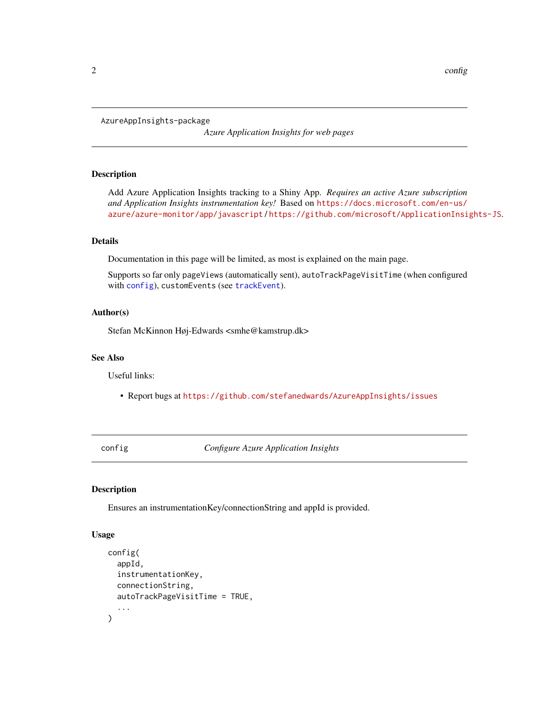<span id="page-1-0"></span>AzureAppInsights-package

*Azure Application Insights for web pages*

#### Description

Add Azure Application Insights tracking to a Shiny App. *Requires an active Azure subscription and Application Insights instrumentation key!* Based on [https://docs.microsoft.com/en-us/](https://docs.microsoft.com/en-us/azure/azure-monitor/app/javascript) [azure/azure-monitor/app/javascript](https://docs.microsoft.com/en-us/azure/azure-monitor/app/javascript) / <https://github.com/microsoft/ApplicationInsights-JS>.

# Details

Documentation in this page will be limited, as most is explained on the main page.

Supports so far only pageViews (automatically sent), autoTrackPageVisitTime (when configured with [config](#page-1-1)), customEvents (see [trackEvent](#page-4-1)).

#### Author(s)

Stefan McKinnon Høj-Edwards <smhe@kamstrup.dk>

# See Also

Useful links:

• Report bugs at <https://github.com/stefanedwards/AzureAppInsights/issues>

<span id="page-1-1"></span>config *Configure Azure Application Insights*

### Description

Ensures an instrumentationKey/connectionString and appId is provided.

#### Usage

```
config(
  appId,
  instrumentationKey,
  connectionString,
  autoTrackPageVisitTime = TRUE,
  ...
)
```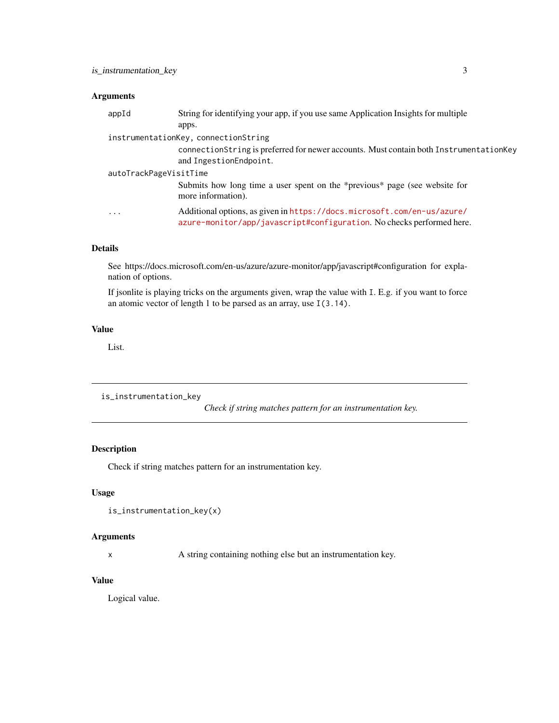# <span id="page-2-0"></span>Arguments

| appId                  | String for identifying your app, if you use same Application Insights for multiple                                                               |
|------------------------|--------------------------------------------------------------------------------------------------------------------------------------------------|
|                        | apps.                                                                                                                                            |
|                        | instrumentationKey, connectionString                                                                                                             |
|                        | connectionString is preferred for newer accounts. Must contain both InstrumentationKey<br>and IngestionEndpoint.                                 |
| autoTrackPageVisitTime |                                                                                                                                                  |
|                        | Submits how long time a user spent on the *previous* page (see website for<br>more information).                                                 |
| $\cdots$               | Additional options, as given in https://docs.microsoft.com/en-us/azure/<br>azure-monitor/app/javascript#configuration. No checks performed here. |

# Details

See https://docs.microsoft.com/en-us/azure/azure-monitor/app/javascript#configuration for explanation of options.

If jsonlite is playing tricks on the arguments given, wrap the value with I. E.g. if you want to force an atomic vector of length 1 to be parsed as an array, use I(3.14).

# Value

List.

is\_instrumentation\_key

*Check if string matches pattern for an instrumentation key.*

# Description

Check if string matches pattern for an instrumentation key.

# Usage

```
is_instrumentation_key(x)
```
# Arguments

x A string containing nothing else but an instrumentation key.

#### Value

Logical value.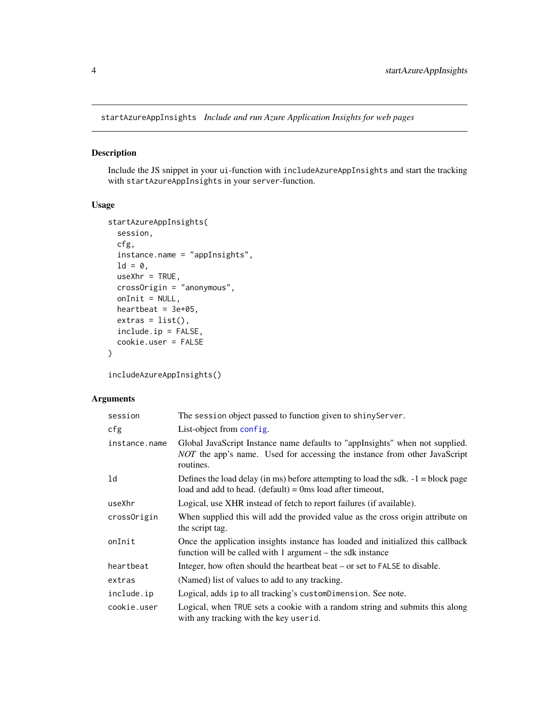<span id="page-3-1"></span><span id="page-3-0"></span>startAzureAppInsights *Include and run Azure Application Insights for web pages*

### Description

Include the JS snippet in your ui-function with includeAzureAppInsights and start the tracking with startAzureAppInsights in your server-function.

# Usage

```
startAzureAppInsights(
 session,
 cfg,
  instance.name = "appInsights",
 ld = 0,
 useXhr = TRUE,crossOrigin = "anonymous",
 onInit = NULL,heartbeat = 3e+05,
 extras = list(),include.ip = FALSE,
 cookie.user = FALSE
)
```
includeAzureAppInsights()

# Arguments

| session       | The session object passed to function given to shiny Server.                                                                                                           |
|---------------|------------------------------------------------------------------------------------------------------------------------------------------------------------------------|
| cfg           | List-object from config.                                                                                                                                               |
| instance.name | Global JavaScript Instance name defaults to "appInsights" when not supplied.<br>NOT the app's name. Used for accessing the instance from other JavaScript<br>routines. |
| 1d            | Defines the load delay (in ms) before attempting to load the sdk. $-1 =$ block page<br>load and add to head. $(detault) = 0$ ms load after timeout,                    |
| useXhr        | Logical, use XHR instead of fetch to report failures (if available).                                                                                                   |
| crossOrigin   | When supplied this will add the provided value as the cross origin attribute on<br>the script tag.                                                                     |
| onInit        | Once the application insights instance has loaded and initialized this callback<br>function will be called with 1 argument – the sdk instance                          |
| heartbeat     | Integer, how often should the heartbeat beat – or set to FALSE to disable.                                                                                             |
| extras        | (Named) list of values to add to any tracking.                                                                                                                         |
| include.ip    | Logical, adds ip to all tracking's customDimension. See note.                                                                                                          |
| cookie.user   | Logical, when TRUE sets a cookie with a random string and submits this along<br>with any tracking with the key userid.                                                 |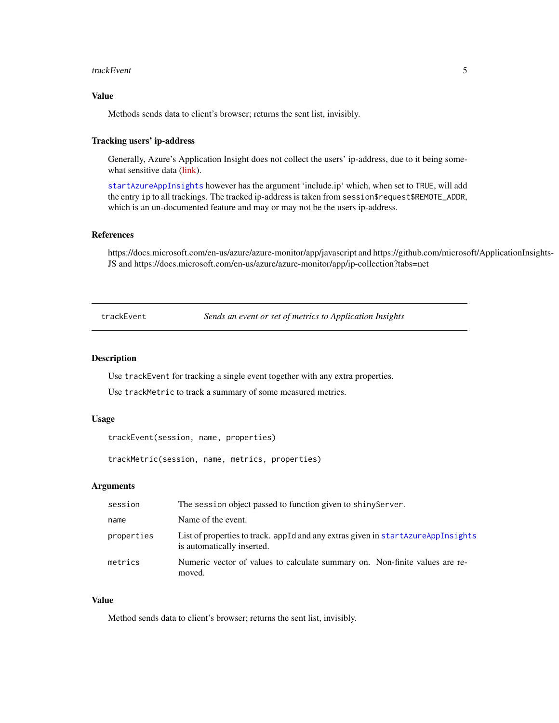#### <span id="page-4-0"></span>trackEvent 5

#### Value

Methods sends data to client's browser; returns the sent list, invisibly.

# Tracking users' ip-address

Generally, Azure's Application Insight does not collect the users' ip-address, due to it being some-what sensitive data [\(link\)](https://docs.microsoft.com/en-us/azure/azure-monitor/app/ip-collection?tabs=net).

[startAzureAppInsights](#page-3-1) however has the argument 'include.ip' which, when set to TRUE, will add the entry ip to all trackings. The tracked ip-address is taken from session\$request\$REMOTE\_ADDR, which is an un-documented feature and may or may not be the users ip-address.

#### References

https://docs.microsoft.com/en-us/azure/azure-monitor/app/javascript and https://github.com/microsoft/ApplicationInsights-JS and https://docs.microsoft.com/en-us/azure/azure-monitor/app/ip-collection?tabs=net

<span id="page-4-1"></span>trackEvent *Sends an event or set of metrics to Application Insights*

#### Description

Use trackEvent for tracking a single event together with any extra properties.

Use trackMetric to track a summary of some measured metrics.

#### Usage

trackEvent(session, name, properties)

trackMetric(session, name, metrics, properties)

#### Arguments

| session    | The session object passed to function given to shiny Server.                                                   |
|------------|----------------------------------------------------------------------------------------------------------------|
| name       | Name of the event.                                                                                             |
| properties | List of properties to track, appId and any extras given in startAzureAppInsights<br>is automatically inserted. |
| metrics    | Numeric vector of values to calculate summary on. Non-finite values are re-<br>moved.                          |

#### Value

Method sends data to client's browser; returns the sent list, invisibly.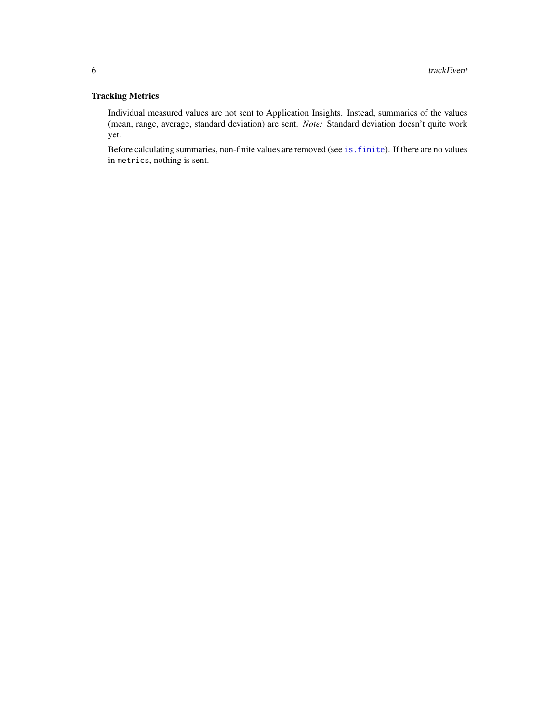# <span id="page-5-0"></span>Tracking Metrics

Individual measured values are not sent to Application Insights. Instead, summaries of the values (mean, range, average, standard deviation) are sent. *Note:* Standard deviation doesn't quite work yet.

Before calculating summaries, non-finite values are removed (see [is.finite](#page-0-0)). If there are no values in metrics, nothing is sent.